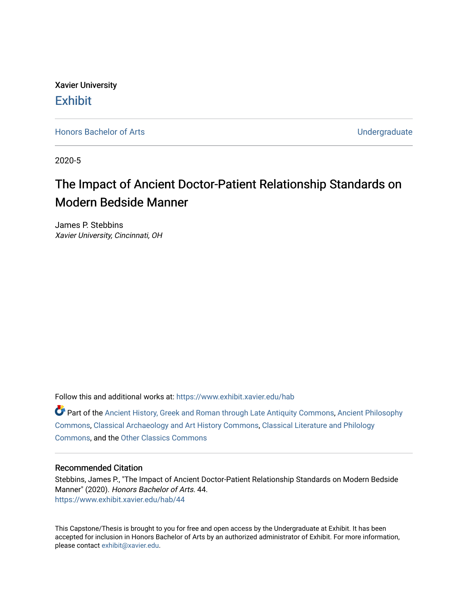Xavier University **Exhibit** 

[Honors Bachelor of Arts](https://www.exhibit.xavier.edu/hab) **No. 2018** 2019 12:30 No. 2019 12:30 No. 2019 12:30 No. 2019 12:30 No. 2019 12:30 No. 2019 12:30 No. 2019 12:30 No. 2019 12:30 No. 2019 12:30 No. 2019 12:30 No. 2019 12:30 No. 2019 12:30 No. 2019 12

2020-5

# The Impact of Ancient Doctor-Patient Relationship Standards on Modern Bedside Manner

James P. Stebbins Xavier University, Cincinnati, OH

Follow this and additional works at: [https://www.exhibit.xavier.edu/hab](https://www.exhibit.xavier.edu/hab?utm_source=www.exhibit.xavier.edu%2Fhab%2F44&utm_medium=PDF&utm_campaign=PDFCoverPages)

Part of the [Ancient History, Greek and Roman through Late Antiquity Commons](http://network.bepress.com/hgg/discipline/447?utm_source=www.exhibit.xavier.edu%2Fhab%2F44&utm_medium=PDF&utm_campaign=PDFCoverPages), [Ancient Philosophy](http://network.bepress.com/hgg/discipline/448?utm_source=www.exhibit.xavier.edu%2Fhab%2F44&utm_medium=PDF&utm_campaign=PDFCoverPages)  [Commons](http://network.bepress.com/hgg/discipline/448?utm_source=www.exhibit.xavier.edu%2Fhab%2F44&utm_medium=PDF&utm_campaign=PDFCoverPages), [Classical Archaeology and Art History Commons,](http://network.bepress.com/hgg/discipline/450?utm_source=www.exhibit.xavier.edu%2Fhab%2F44&utm_medium=PDF&utm_campaign=PDFCoverPages) [Classical Literature and Philology](http://network.bepress.com/hgg/discipline/451?utm_source=www.exhibit.xavier.edu%2Fhab%2F44&utm_medium=PDF&utm_campaign=PDFCoverPages) [Commons](http://network.bepress.com/hgg/discipline/451?utm_source=www.exhibit.xavier.edu%2Fhab%2F44&utm_medium=PDF&utm_campaign=PDFCoverPages), and the [Other Classics Commons](http://network.bepress.com/hgg/discipline/453?utm_source=www.exhibit.xavier.edu%2Fhab%2F44&utm_medium=PDF&utm_campaign=PDFCoverPages) 

### Recommended Citation

Stebbins, James P., "The Impact of Ancient Doctor-Patient Relationship Standards on Modern Bedside Manner" (2020). Honors Bachelor of Arts. 44. [https://www.exhibit.xavier.edu/hab/44](https://www.exhibit.xavier.edu/hab/44?utm_source=www.exhibit.xavier.edu%2Fhab%2F44&utm_medium=PDF&utm_campaign=PDFCoverPages) 

This Capstone/Thesis is brought to you for free and open access by the Undergraduate at Exhibit. It has been accepted for inclusion in Honors Bachelor of Arts by an authorized administrator of Exhibit. For more information, please contact [exhibit@xavier.edu.](mailto:exhibit@xavier.edu)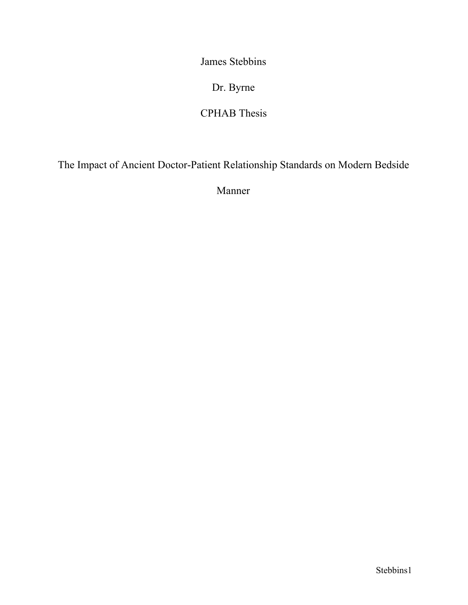James Stebbins

Dr. Byrne

# CPHAB Thesis

The Impact of Ancient Doctor-Patient Relationship Standards on Modern Bedside

Manner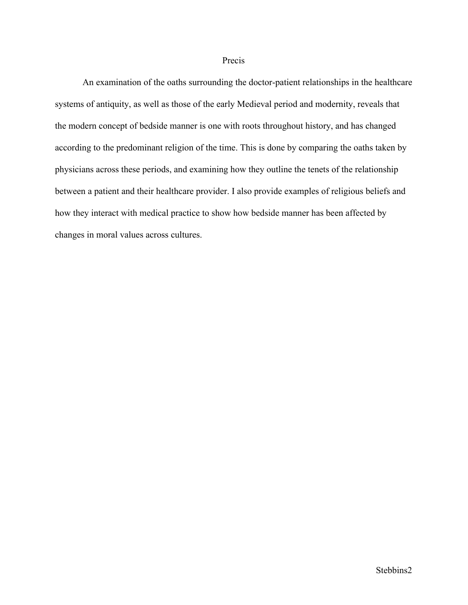#### Precis

An examination of the oaths surrounding the doctor-patient relationships in the healthcare systems of antiquity, as well as those of the early Medieval period and modernity, reveals that the modern concept of bedside manner is one with roots throughout history, and has changed according to the predominant religion of the time. This is done by comparing the oaths taken by physicians across these periods, and examining how they outline the tenets of the relationship between a patient and their healthcare provider. I also provide examples of religious beliefs and how they interact with medical practice to show how bedside manner has been affected by changes in moral values across cultures.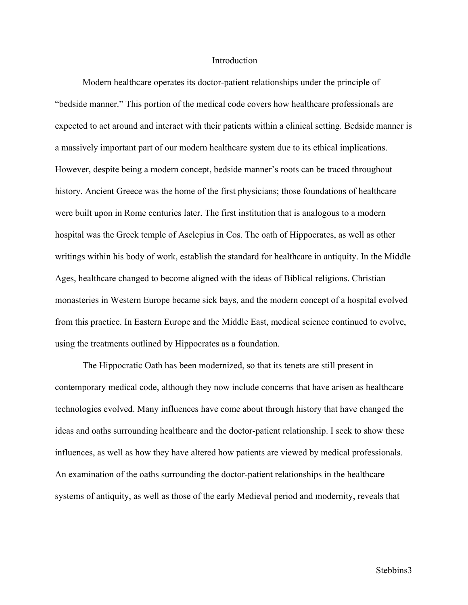#### **Introduction**

Modern healthcare operates its doctor-patient relationships under the principle of "bedside manner." This portion of the medical code covers how healthcare professionals are expected to act around and interact with their patients within a clinical setting. Bedside manner is a massively important part of our modern healthcare system due to its ethical implications. However, despite being a modern concept, bedside manner's roots can be traced throughout history. Ancient Greece was the home of the first physicians; those foundations of healthcare were built upon in Rome centuries later. The first institution that is analogous to a modern hospital was the Greek temple of Asclepius in Cos. The oath of Hippocrates, as well as other writings within his body of work, establish the standard for healthcare in antiquity. In the Middle Ages, healthcare changed to become aligned with the ideas of Biblical religions. Christian monasteries in Western Europe became sick bays, and the modern concept of a hospital evolved from this practice. In Eastern Europe and the Middle East, medical science continued to evolve, using the treatments outlined by Hippocrates as a foundation.

The Hippocratic Oath has been modernized, so that its tenets are still present in contemporary medical code, although they now include concerns that have arisen as healthcare technologies evolved. Many influences have come about through history that have changed the ideas and oaths surrounding healthcare and the doctor-patient relationship. I seek to show these influences, as well as how they have altered how patients are viewed by medical professionals. An examination of the oaths surrounding the doctor-patient relationships in the healthcare systems of antiquity, as well as those of the early Medieval period and modernity, reveals that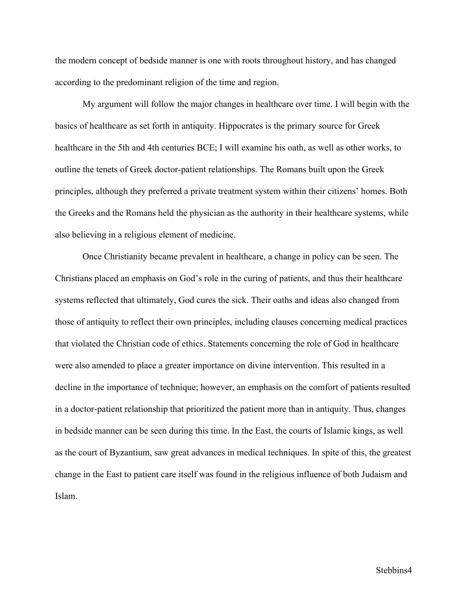the modern concept of bedside manner is one with roots throughout history, and has changed according to the predominant religion of the time and region.

My argument will follow the major changes in healthcare over time. I will begin with the basics of healthcare as set forth in antiquity. Hippocrates is the primary source for Greek healthcare in the 5th and 4th centuries BCE; I will examine his oath, as well as other works, to outline the tenets of Greek doctor-patient relationships. The Romans built upon the Greek principles, although they preferred a private treatment system within their citizens' homes. Both the Greeks and the Romans held the physician as the authority in their healthcare systems, while also believing in a religious element of medicine.

Once Christianity became prevalent in healthcare, a change in policy can be seen. The Christians placed an emphasis on God's role in the curing of patients, and thus their healthcare systems reflected that ultimately, God cures the sick. Their oaths and ideas also changed from those of antiquity to reflect their own principles, including clauses concerning medical practices that violated the Christian code of ethics. Statements concerning the role of God in healthcare were also amended to place a greater importance on divine intervention. This resulted in a decline in the importance of technique; however, an emphasis on the comfort of patients resulted in a doctor-patient relationship that prioritized the patient more than in antiquity. Thus, changes in bedside manner can be seen during this time. In the East, the courts of Islamic kings, as well as the court of Byzantium, saw great advances in medical techniques. In spite of this, the greatest change in the East to patient care itself was found in the religious influence of both Judaism and Islam.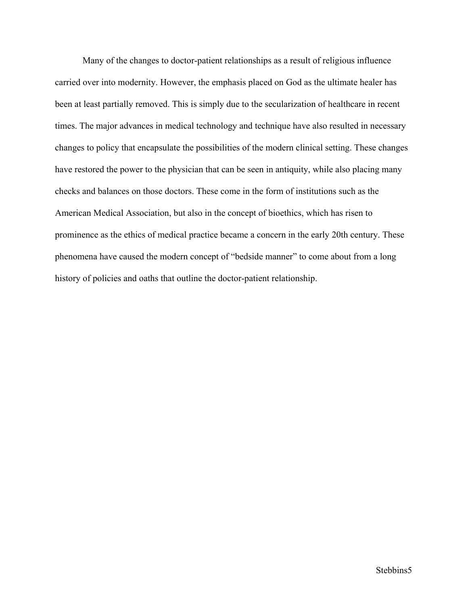Many of the changes to doctor-patient relationships as a result of religious influence carried over into modernity. However, the emphasis placed on God as the ultimate healer has been at least partially removed. This is simply due to the secularization of healthcare in recent times. The major advances in medical technology and technique have also resulted in necessary changes to policy that encapsulate the possibilities of the modern clinical setting. These changes have restored the power to the physician that can be seen in antiquity, while also placing many checks and balances on those doctors. These come in the form of institutions such as the American Medical Association, but also in the concept of bioethics, which has risen to prominence as the ethics of medical practice became a concern in the early 20th century. These phenomena have caused the modern concept of "bedside manner" to come about from a long history of policies and oaths that outline the doctor-patient relationship.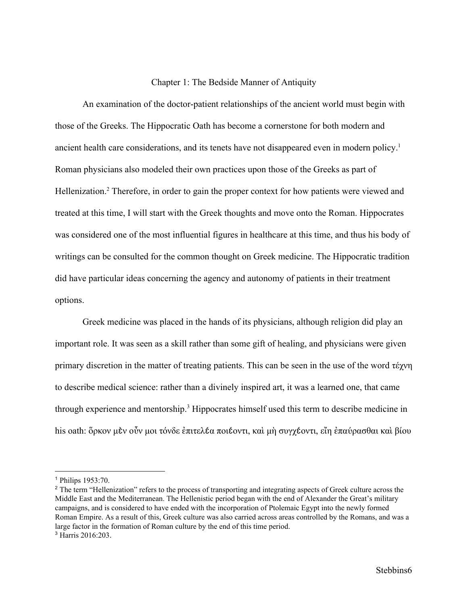#### Chapter 1: The Bedside Manner of Antiquity

An examination of the doctor-patient relationships of the ancient world must begin with those of the Greeks. The Hippocratic Oath has become a cornerstone for both modern and ancient health care considerations, and its tenets have not disappeared even in modern policy.<sup>1</sup> Roman physicians also modeled their own practices upon those of the Greeks as part of Hellenization.<sup>2</sup> Therefore, in order to gain the proper context for how patients were viewed and treated at this time, I will start with the Greek thoughts and move onto the Roman. Hippocrates was considered one of the most influential figures in healthcare at this time, and thus his body of writings can be consulted for the common thought on Greek medicine. The Hippocratic tradition did have particular ideas concerning the agency and autonomy of patients in their treatment options.

Greek medicine was placed in the hands of its physicians, although religion did play an important role. It was seen as a skill rather than some gift of healing, and physicians were given primary discretion in the matter of treating patients. This can be seen in the use of the word τέχνη to describe medical science: rather than a divinely inspired art, it was a learned one, that came through experience and mentorship.<sup>3</sup> Hippocrates himself used this term to describe medicine in his oath: ὅρκον μὲν οὖν μοι τόνδε ἐπιτελέα ποιέοντι, καὶ μὴ συγχέοντι, εἴη ἐπαύρασθαι καὶ βίου

<sup>1</sup> Philips 1953:70.

<sup>&</sup>lt;sup>2</sup> The term "Hellenization" refers to the process of transporting and integrating aspects of Greek culture across the Middle East and the Mediterranean. The Hellenistic period began with the end of Alexander the Great's military campaigns, and is considered to have ended with the incorporation of Ptolemaic Egypt into the newly formed Roman Empire. As a result of this, Greek culture was also carried across areas controlled by the Romans, and was a large factor in the formation of Roman culture by the end of this time period.

<sup>3</sup> Harris 2016:203.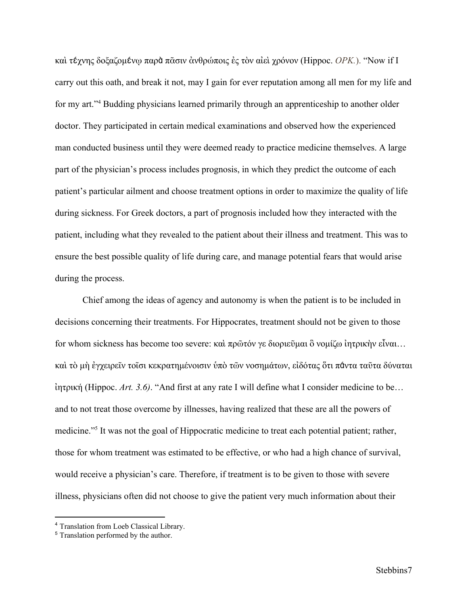καὶ τέχνης δοξαζομένῳ παρὰ πᾶσιν ἀνθρώποις ἐς τὸν αἰεὶ χρόνον (Hippoc. *ΟΡΚ.*). "Now if I carry out this oath, and break it not, may I gain for ever reputation among all men for my life and for my art."<sup>4</sup> Budding physicians learned primarily through an apprenticeship to another older doctor. They participated in certain medical examinations and observed how the experienced man conducted business until they were deemed ready to practice medicine themselves. A large part of the physician's process includes prognosis, in which they predict the outcome of each patient's particular ailment and choose treatment options in order to maximize the quality of life during sickness. For Greek doctors, a part of prognosis included how they interacted with the patient, including what they revealed to the patient about their illness and treatment. This was to ensure the best possible quality of life during care, and manage potential fears that would arise during the process.

Chief among the ideas of agency and autonomy is when the patient is to be included in decisions concerning their treatments. For Hippocrates, treatment should not be given to those for whom sickness has become too severe: καὶ πρῶτόν γε διοριεῦμαι ὃ νομίζω ἰητρικὴν εἶναι… καὶ τὸ μὴ ἐγχειρεῖν τοῖσι κεκρατημένοισιν ὑπὸ τῶν νοσημάτων, εἰδότας ὅτι πάντα ταῦτα δύναται ἰητρική (Hippoc. *Art. 3.6)*. "And first at any rate I will define what I consider medicine to be… and to not treat those overcome by illnesses, having realized that these are all the powers of medicine."<sup>5</sup> It was not the goal of Hippocratic medicine to treat each potential patient; rather, those for whom treatment was estimated to be effective, or who had a high chance of survival, would receive a physician's care. Therefore, if treatment is to be given to those with severe illness, physicians often did not choose to give the patient very much information about their

<sup>4</sup> Translation from Loeb Classical Library.

<sup>5</sup> Translation performed by the author.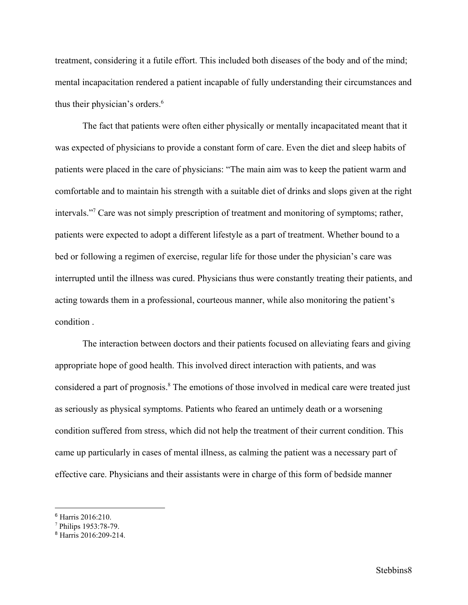treatment, considering it a futile effort. This included both diseases of the body and of the mind; mental incapacitation rendered a patient incapable of fully understanding their circumstances and thus their physician's orders.<sup>6</sup>

The fact that patients were often either physically or mentally incapacitated meant that it was expected of physicians to provide a constant form of care. Even the diet and sleep habits of patients were placed in the care of physicians: "The main aim was to keep the patient warm and comfortable and to maintain his strength with a suitable diet of drinks and slops given at the right intervals."<sup>7</sup> Care was not simply prescription of treatment and monitoring of symptoms; rather, patients were expected to adopt a different lifestyle as a part of treatment. Whether bound to a bed or following a regimen of exercise, regular life for those under the physician's care was interrupted until the illness was cured. Physicians thus were constantly treating their patients, and acting towards them in a professional, courteous manner, while also monitoring the patient's condition .

The interaction between doctors and their patients focused on alleviating fears and giving appropriate hope of good health. This involved direct interaction with patients, and was considered a part of prognosis.<sup>8</sup> The emotions of those involved in medical care were treated just as seriously as physical symptoms. Patients who feared an untimely death or a worsening condition suffered from stress, which did not help the treatment of their current condition. This came up particularly in cases of mental illness, as calming the patient was a necessary part of effective care. Physicians and their assistants were in charge of this form of bedside manner

<sup>6</sup> Harris 2016:210.

<sup>7</sup> Philips 1953:78-79.

<sup>8</sup> Harris 2016:209-214.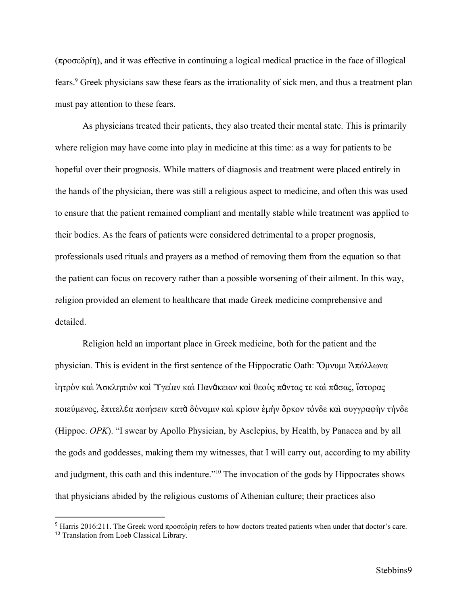(προσεδρίη), and it was effective in continuing a logical medical practice in the face of illogical fears.<sup>9</sup> Greek physicians saw these fears as the irrationality of sick men, and thus a treatment plan must pay attention to these fears.

As physicians treated their patients, they also treated their mental state. This is primarily where religion may have come into play in medicine at this time: as a way for patients to be hopeful over their prognosis. While matters of diagnosis and treatment were placed entirely in the hands of the physician, there was still a religious aspect to medicine, and often this was used to ensure that the patient remained compliant and mentally stable while treatment was applied to their bodies. As the fears of patients were considered detrimental to a proper prognosis, professionals used rituals and prayers as a method of removing them from the equation so that the patient can focus on recovery rather than a possible worsening of their ailment. In this way, religion provided an element to healthcare that made Greek medicine comprehensive and detailed.

Religion held an important place in Greek medicine, both for the patient and the physician. This is evident in the first sentence of the Hippocratic Oath: Ὄμνυμι Ἀπόλλωνα ἰητρὸν καὶ Ἀσκληπιὸν καὶ Ὑγείαν καὶ Πανάκειαν καὶ θεοὺς πάντας τε καὶ πάσας, ἵστορας ποιεύμενος, ἐπιτελέα ποιήσειν κατὰ δύναμιν καὶ κρίσιν ἐμὴν ὅρκον τόνδε καὶ συγγραφὴν τήνδε (Hippoc. *OPK*). "I swear by Apollo Physician, by Asclepius, by Health, by Panacea and by all the gods and goddesses, making them my witnesses, that I will carry out, according to my ability and judgment, this oath and this indenture."<sup>10</sup> The invocation of the gods by Hippocrates shows that physicians abided by the religious customs of Athenian culture; their practices also

<sup>9</sup> Harris 2016:211. The Greek word προσεδρίη refers to how doctors treated patients when under that doctor's care. <sup>10</sup> Translation from Loeb Classical Library.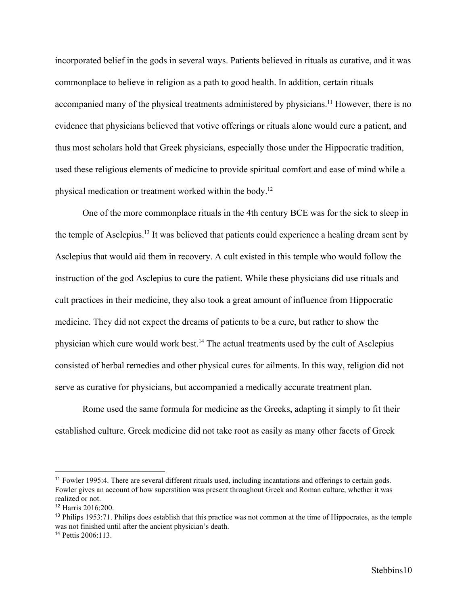incorporated belief in the gods in several ways. Patients believed in rituals as curative, and it was commonplace to believe in religion as a path to good health. In addition, certain rituals accompanied many of the physical treatments administered by physicians.<sup>11</sup> However, there is no evidence that physicians believed that votive offerings or rituals alone would cure a patient, and thus most scholars hold that Greek physicians, especially those under the Hippocratic tradition, used these religious elements of medicine to provide spiritual comfort and ease of mind while a physical medication or treatment worked within the body.<sup>12</sup>

One of the more commonplace rituals in the 4th century BCE was for the sick to sleep in the temple of Asclepius.<sup>13</sup> It was believed that patients could experience a healing dream sent by Asclepius that would aid them in recovery. A cult existed in this temple who would follow the instruction of the god Asclepius to cure the patient. While these physicians did use rituals and cult practices in their medicine, they also took a great amount of influence from Hippocratic medicine. They did not expect the dreams of patients to be a cure, but rather to show the physician which cure would work best.<sup>14</sup> The actual treatments used by the cult of Asclepius consisted of herbal remedies and other physical cures for ailments. In this way, religion did not serve as curative for physicians, but accompanied a medically accurate treatment plan.

Rome used the same formula for medicine as the Greeks, adapting it simply to fit their established culture. Greek medicine did not take root as easily as many other facets of Greek

<sup>&</sup>lt;sup>11</sup> Fowler 1995:4. There are several different rituals used, including incantations and offerings to certain gods. Fowler gives an account of how superstition was present throughout Greek and Roman culture, whether it was realized or not.

<sup>12</sup> Harris 2016:200.

<sup>&</sup>lt;sup>13</sup> Philips 1953:71. Philips does establish that this practice was not common at the time of Hippocrates, as the temple was not finished until after the ancient physician's death.

<sup>14</sup> Pettis 2006:113.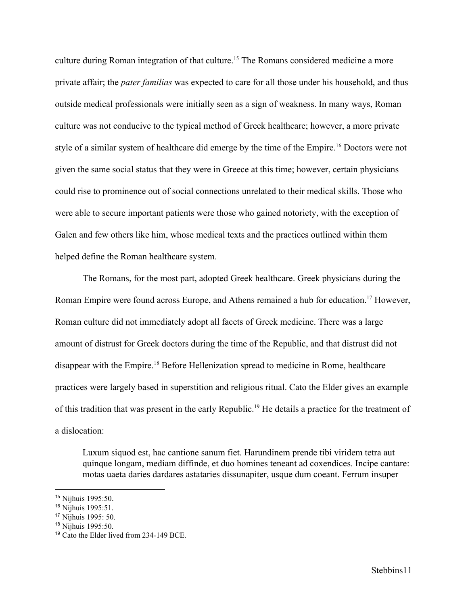culture during Roman integration of that culture.<sup>15</sup> The Romans considered medicine a more private affair; the *pater familias* was expected to care for all those under his household, and thus outside medical professionals were initially seen as a sign of weakness. In many ways, Roman culture was not conducive to the typical method of Greek healthcare; however, a more private style of a similar system of healthcare did emerge by the time of the Empire.<sup>16</sup> Doctors were not given the same social status that they were in Greece at this time; however, certain physicians could rise to prominence out of social connections unrelated to their medical skills. Those who were able to secure important patients were those who gained notoriety, with the exception of Galen and few others like him, whose medical texts and the practices outlined within them helped define the Roman healthcare system.

The Romans, for the most part, adopted Greek healthcare. Greek physicians during the Roman Empire were found across Europe, and Athens remained a hub for education.<sup>17</sup> However, Roman culture did not immediately adopt all facets of Greek medicine. There was a large amount of distrust for Greek doctors during the time of the Republic, and that distrust did not disappear with the Empire.<sup>18</sup> Before Hellenization spread to medicine in Rome, healthcare practices were largely based in superstition and religious ritual. Cato the Elder gives an example of this tradition that was present in the early Republic.<sup>19</sup> He details a practice for the treatment of a dislocation:

Luxum siquod est, hac cantione sanum fiet. Harundinem prende tibi viridem tetra aut quinque longam, mediam diffinde, et duo homines teneant ad coxendices. Incipe cantare: motas uaeta daries dardares astataries dissunapiter, usque dum coeant. Ferrum insuper

<sup>15</sup> Nijhuis 1995:50.

<sup>16</sup> Nijhuis 1995:51.

<sup>17</sup> Nijhuis 1995: 50.

<sup>18</sup> Nijhuis 1995:50.

<sup>19</sup> Cato the Elder lived from 234-149 BCE.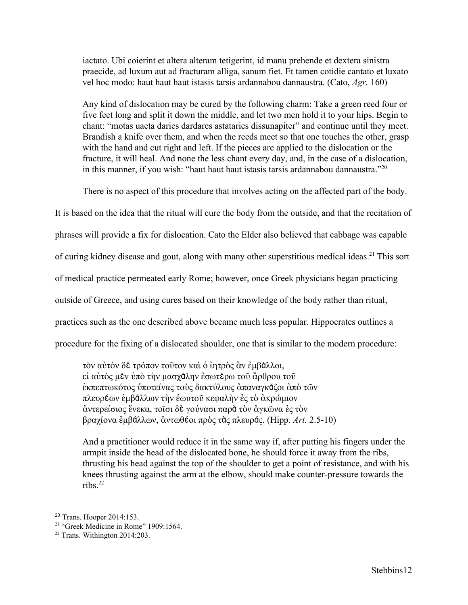iactato. Ubi coierint et altera alteram tetigerint, id manu prehende et dextera sinistra praecide, ad luxum aut ad fracturam alliga, sanum fiet. Et tamen cotidie cantato et luxato vel hoc modo: haut haut haut istasis tarsis ardannabou dannaustra. (Cato, *Agr.* 160)

Any kind of dislocation may be cured by the following charm: Take a green reed four or five feet long and split it down the middle, and let two men hold it to your hips. Begin to chant: "motas uaeta daries dardares astataries dissunapiter" and continue until they meet. Brandish a knife over them, and when the reeds meet so that one touches the other, grasp with the hand and cut right and left. If the pieces are applied to the dislocation or the fracture, it will heal. And none the less chant every day, and, in the case of a dislocation, in this manner, if you wish: "haut haut haut istasis tarsis ardannabou dannaustra."<sup>20</sup>

There is no aspect of this procedure that involves acting on the affected part of the body.

It is based on the idea that the ritual will cure the body from the outside, and that the recitation of

phrases will provide a fix for dislocation. Cato the Elder also believed that cabbage was capable

of curing kidney disease and gout, along with many other superstitious medical ideas.<sup>21</sup> This sort

of medical practice permeated early Rome; however, once Greek physicians began practicing

outside of Greece, and using cures based on their knowledge of the body rather than ritual,

practices such as the one described above became much less popular. Hippocrates outlines a

procedure for the fixing of a dislocated shoulder, one that is similar to the modern procedure:

τὸν αὐτὸν δὲ τρόπον τοῦτον καὶ ὁ ἰητρὸς ἂν ἐμβάλλοι, εἰ αὐτὸς μὲν ὑπὸ τὴν μασχάλην ἐσωτέρω τοῦ ἄρθρου τοῦ ἐκπεπτωκότος ὑποτείνας τοὺς δακτύλους ἀπαναγκάζοι ἀπὸ τῶν πλευρέων ἐμβάλλων τὴν ἑωυτοῦ κεφαλὴν ἐς τὸ ἀκρώμιον ἀντερείσιος ἕνεκα, τοῖσι δὲ γούνασι παρὰ τὸν ἀγκῶνα ἐς τὸν βραχίονα ἐμβάλλων, ἀντωθέοι πρὸς τὰς πλευράς. (Hipp. *Art.* 2.5-10)

And a practitioner would reduce it in the same way if, after putting his fingers under the armpit inside the head of the dislocated bone, he should force it away from the ribs, thrusting his head against the top of the shoulder to get a point of resistance, and with his knees thrusting against the arm at the elbow, should make counter-pressure towards the ribs. $^{22}$ 

<sup>20</sup> Trans. Hooper 2014:153.

<sup>&</sup>lt;sup>21</sup> "Greek Medicine in Rome" 1909:1564.

 $22$  Trans. Withington 2014:203.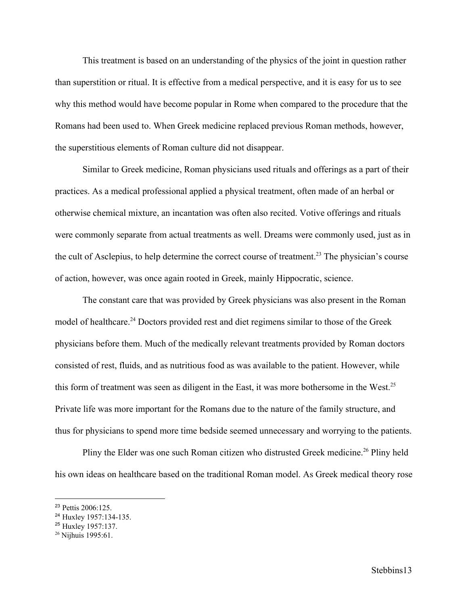This treatment is based on an understanding of the physics of the joint in question rather than superstition or ritual. It is effective from a medical perspective, and it is easy for us to see why this method would have become popular in Rome when compared to the procedure that the Romans had been used to. When Greek medicine replaced previous Roman methods, however, the superstitious elements of Roman culture did not disappear.

Similar to Greek medicine, Roman physicians used rituals and offerings as a part of their practices. As a medical professional applied a physical treatment, often made of an herbal or otherwise chemical mixture, an incantation was often also recited. Votive offerings and rituals were commonly separate from actual treatments as well. Dreams were commonly used, just as in the cult of Asclepius, to help determine the correct course of treatment.<sup>23</sup> The physician's course of action, however, was once again rooted in Greek, mainly Hippocratic, science.

The constant care that was provided by Greek physicians was also present in the Roman model of healthcare.<sup>24</sup> Doctors provided rest and diet regimens similar to those of the Greek physicians before them. Much of the medically relevant treatments provided by Roman doctors consisted of rest, fluids, and as nutritious food as was available to the patient. However, while this form of treatment was seen as diligent in the East, it was more bothersome in the West.<sup>25</sup> Private life was more important for the Romans due to the nature of the family structure, and thus for physicians to spend more time bedside seemed unnecessary and worrying to the patients.

Pliny the Elder was one such Roman citizen who distrusted Greek medicine.<sup>26</sup> Pliny held his own ideas on healthcare based on the traditional Roman model. As Greek medical theory rose

<sup>23</sup> Pettis 2006:125.

<sup>24</sup> Huxley 1957:134-135.

<sup>25</sup> Huxley 1957:137.

<sup>26</sup> Nijhuis 1995:61.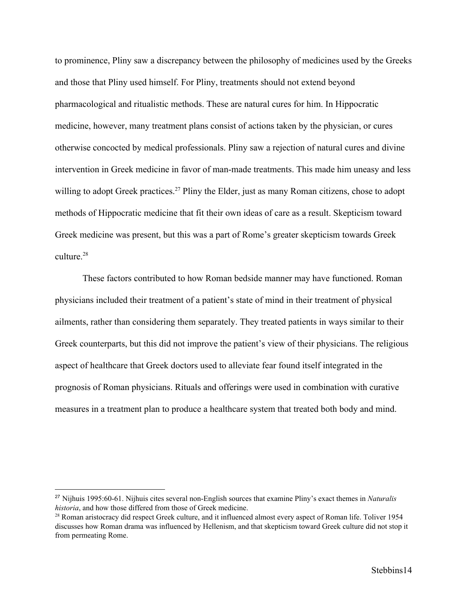to prominence, Pliny saw a discrepancy between the philosophy of medicines used by the Greeks and those that Pliny used himself. For Pliny, treatments should not extend beyond pharmacological and ritualistic methods. These are natural cures for him. In Hippocratic medicine, however, many treatment plans consist of actions taken by the physician, or cures otherwise concocted by medical professionals. Pliny saw a rejection of natural cures and divine intervention in Greek medicine in favor of man-made treatments. This made him uneasy and less willing to adopt Greek practices.<sup>27</sup> Pliny the Elder, just as many Roman citizens, chose to adopt methods of Hippocratic medicine that fit their own ideas of care as a result. Skepticism toward Greek medicine was present, but this was a part of Rome's greater skepticism towards Greek culture  $28$ 

These factors contributed to how Roman bedside manner may have functioned. Roman physicians included their treatment of a patient's state of mind in their treatment of physical ailments, rather than considering them separately. They treated patients in ways similar to their Greek counterparts, but this did not improve the patient's view of their physicians. The religious aspect of healthcare that Greek doctors used to alleviate fear found itself integrated in the prognosis of Roman physicians. Rituals and offerings were used in combination with curative measures in a treatment plan to produce a healthcare system that treated both body and mind.

<sup>27</sup> Nijhuis 1995:60-61. Nijhuis cites several non-English sources that examine Pliny's exact themes in *Naturalis historia*, and how those differed from those of Greek medicine.

<sup>&</sup>lt;sup>28</sup> Roman aristocracy did respect Greek culture, and it influenced almost every aspect of Roman life. Toliver 1954 discusses how Roman drama was influenced by Hellenism, and that skepticism toward Greek culture did not stop it from permeating Rome.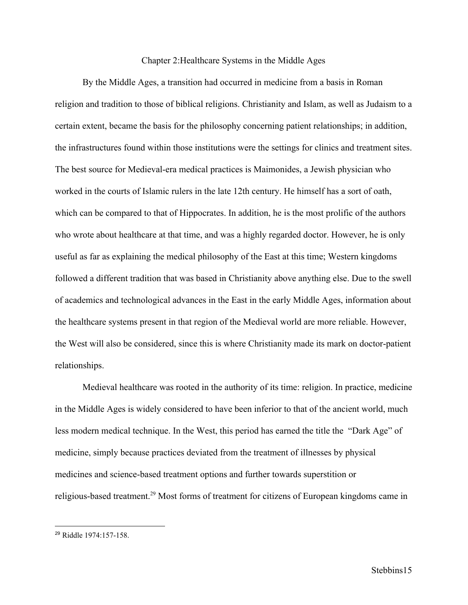## Chapter 2:Healthcare Systems in the Middle Ages

By the Middle Ages, a transition had occurred in medicine from a basis in Roman religion and tradition to those of biblical religions. Christianity and Islam, as well as Judaism to a certain extent, became the basis for the philosophy concerning patient relationships; in addition, the infrastructures found within those institutions were the settings for clinics and treatment sites. The best source for Medieval-era medical practices is Maimonides, a Jewish physician who worked in the courts of Islamic rulers in the late 12th century. He himself has a sort of oath, which can be compared to that of Hippocrates. In addition, he is the most prolific of the authors who wrote about healthcare at that time, and was a highly regarded doctor. However, he is only useful as far as explaining the medical philosophy of the East at this time; Western kingdoms followed a different tradition that was based in Christianity above anything else. Due to the swell of academics and technological advances in the East in the early Middle Ages, information about the healthcare systems present in that region of the Medieval world are more reliable. However, the West will also be considered, since this is where Christianity made its mark on doctor-patient relationships.

Medieval healthcare was rooted in the authority of its time: religion. In practice, medicine in the Middle Ages is widely considered to have been inferior to that of the ancient world, much less modern medical technique. In the West, this period has earned the title the "Dark Age" of medicine, simply because practices deviated from the treatment of illnesses by physical medicines and science-based treatment options and further towards superstition or religious-based treatment.<sup>29</sup> Most forms of treatment for citizens of European kingdoms came in

<sup>29</sup> Riddle 1974:157-158.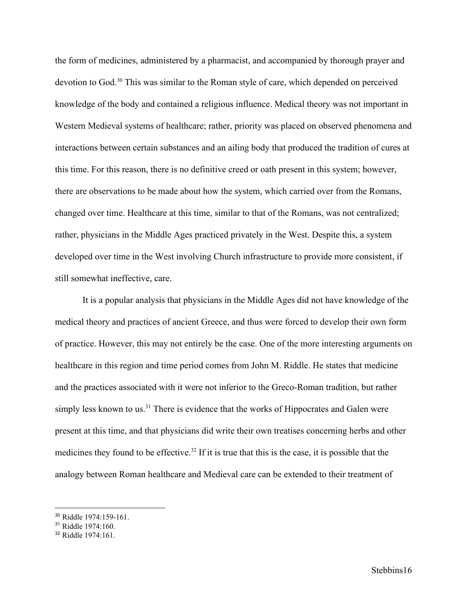the form of medicines, administered by a pharmacist, and accompanied by thorough prayer and devotion to God.<sup>30</sup> This was similar to the Roman style of care, which depended on perceived knowledge of the body and contained a religious influence. Medical theory was not important in Western Medieval systems of healthcare; rather, priority was placed on observed phenomena and interactions between certain substances and an ailing body that produced the tradition of cures at this time. For this reason, there is no definitive creed or oath present in this system; however, there are observations to be made about how the system, which carried over from the Romans, changed over time. Healthcare at this time, similar to that of the Romans, was not centralized; rather, physicians in the Middle Ages practiced privately in the West. Despite this, a system developed over time in the West involving Church infrastructure to provide more consistent, if still somewhat ineffective, care.

It is a popular analysis that physicians in the Middle Ages did not have knowledge of the medical theory and practices of ancient Greece, and thus were forced to develop their own form of practice. However, this may not entirely be the case. One of the more interesting arguments on healthcare in this region and time period comes from John M. Riddle. He states that medicine and the practices associated with it were not inferior to the Greco-Roman tradition, but rather simply less known to us.<sup>31</sup> There is evidence that the works of Hippocrates and Galen were present at this time, and that physicians did write their own treatises concerning herbs and other medicines they found to be effective.<sup>32</sup> If it is true that this is the case, it is possible that the analogy between Roman healthcare and Medieval care can be extended to their treatment of

<sup>30</sup> Riddle 1974:159-161.

<sup>31</sup> Riddle 1974:160.

 $32$  Riddle  $1974.161$ .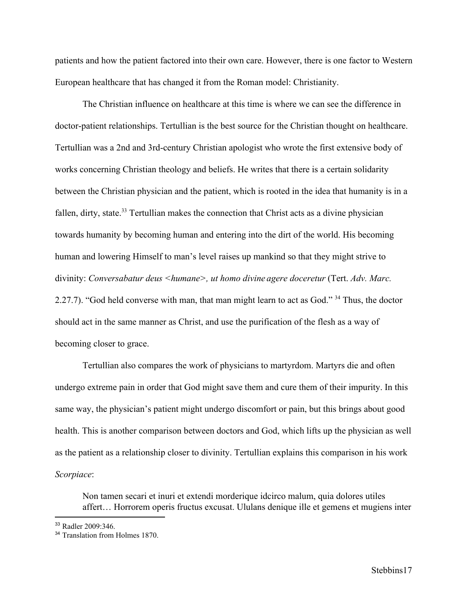patients and how the patient factored into their own care. However, there is one factor to Western European healthcare that has changed it from the Roman model: Christianity.

The Christian influence on healthcare at this time is where we can see the difference in doctor-patient relationships. Tertullian is the best source for the Christian thought on healthcare. Tertullian was a 2nd and 3rd-century Christian apologist who wrote the first extensive body of works concerning Christian theology and beliefs. He writes that there is a certain solidarity between the Christian physician and the patient, which is rooted in the idea that humanity is in a fallen, dirty, state.<sup>33</sup> Tertullian makes the connection that Christ acts as a divine physician towards humanity by becoming human and entering into the dirt of the world. His becoming human and lowering Himself to man's level raises up mankind so that they might strive to divinity: *Conversabatur deus <humane>, ut homo divine agere doceretur* (Tert. *Adv. Marc.* 2.27.7). "God held converse with man, that man might learn to act as God."  $34$  Thus, the doctor should act in the same manner as Christ, and use the purification of the flesh as a way of becoming closer to grace.

Tertullian also compares the work of physicians to martyrdom. Martyrs die and often undergo extreme pain in order that God might save them and cure them of their impurity. In this same way, the physician's patient might undergo discomfort or pain, but this brings about good health. This is another comparison between doctors and God, which lifts up the physician as well as the patient as a relationship closer to divinity. Tertullian explains this comparison in his work *Scorpiace*:

Non tamen secari et inuri et extendi morderique idcirco malum, quia dolores utiles affert… Horrorem operis fructus excusat. Ululans denique ille et gemens et mugiens inter

<sup>33</sup> Radler 2009:346.

<sup>&</sup>lt;sup>34</sup> Translation from Holmes 1870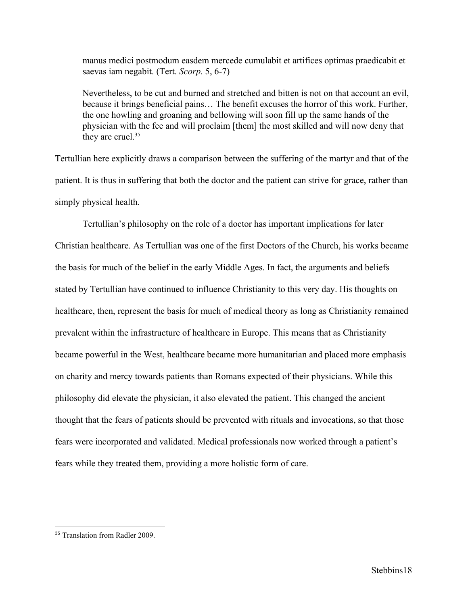manus medici postmodum easdem mercede cumulabit et artifices optimas praedicabit et saevas iam negabit. (Tert. *Scorp.* 5, 6-7)

Nevertheless, to be cut and burned and stretched and bitten is not on that account an evil, because it brings beneficial pains… The benefit excuses the horror of this work. Further, the one howling and groaning and bellowing will soon fill up the same hands of the physician with the fee and will proclaim [them] the most skilled and will now deny that they are cruel.<sup>35</sup>

Tertullian here explicitly draws a comparison between the suffering of the martyr and that of the patient. It is thus in suffering that both the doctor and the patient can strive for grace, rather than simply physical health.

Tertullian's philosophy on the role of a doctor has important implications for later Christian healthcare. As Tertullian was one of the first Doctors of the Church, his works became the basis for much of the belief in the early Middle Ages. In fact, the arguments and beliefs stated by Tertullian have continued to influence Christianity to this very day. His thoughts on healthcare, then, represent the basis for much of medical theory as long as Christianity remained prevalent within the infrastructure of healthcare in Europe. This means that as Christianity became powerful in the West, healthcare became more humanitarian and placed more emphasis on charity and mercy towards patients than Romans expected of their physicians. While this philosophy did elevate the physician, it also elevated the patient. This changed the ancient thought that the fears of patients should be prevented with rituals and invocations, so that those fears were incorporated and validated. Medical professionals now worked through a patient's fears while they treated them, providing a more holistic form of care.

<sup>&</sup>lt;sup>35</sup> Translation from Radler 2009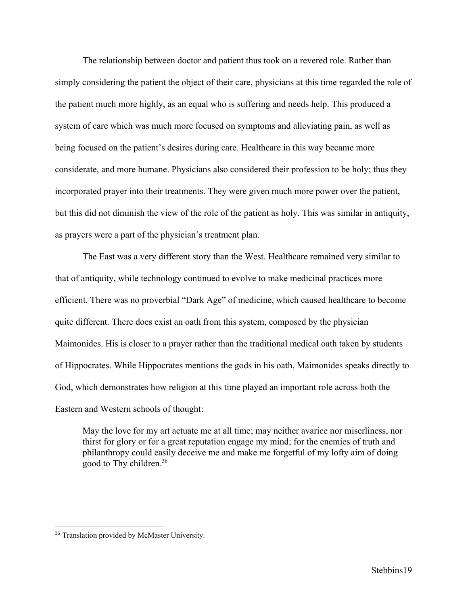The relationship between doctor and patient thus took on a revered role. Rather than simply considering the patient the object of their care, physicians at this time regarded the role of the patient much more highly, as an equal who is suffering and needs help. This produced a system of care which was much more focused on symptoms and alleviating pain, as well as being focused on the patient's desires during care. Healthcare in this way became more considerate, and more humane. Physicians also considered their profession to be holy; thus they incorporated prayer into their treatments. They were given much more power over the patient, but this did not diminish the view of the role of the patient as holy. This was similar in antiquity, as prayers were a part of the physician's treatment plan.

The East was a very different story than the West. Healthcare remained very similar to that of antiquity, while technology continued to evolve to make medicinal practices more efficient. There was no proverbial "Dark Age" of medicine, which caused healthcare to become quite different. There does exist an oath from this system, composed by the physician Maimonides. His is closer to a prayer rather than the traditional medical oath taken by students of Hippocrates. While Hippocrates mentions the gods in his oath, Maimonides speaks directly to God, which demonstrates how religion at this time played an important role across both the Eastern and Western schools of thought:

May the love for my art actuate me at all time; may neither avarice nor miserliness, nor thirst for glory or for a great reputation engage my mind; for the enemies of truth and philanthropy could easily deceive me and make me forgetful of my lofty aim of doing good to Thy children.<sup>36</sup>

<sup>36</sup> Translation provided by McMaster University.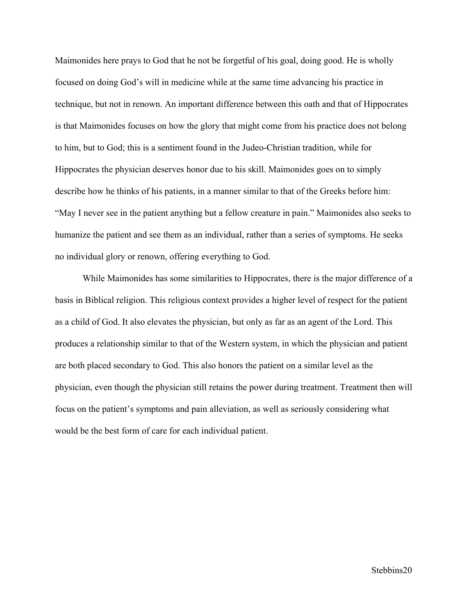Maimonides here prays to God that he not be forgetful of his goal, doing good. He is wholly focused on doing God's will in medicine while at the same time advancing his practice in technique, but not in renown. An important difference between this oath and that of Hippocrates is that Maimonides focuses on how the glory that might come from his practice does not belong to him, but to God; this is a sentiment found in the Judeo-Christian tradition, while for Hippocrates the physician deserves honor due to his skill. Maimonides goes on to simply describe how he thinks of his patients, in a manner similar to that of the Greeks before him: "May I never see in the patient anything but a fellow creature in pain." Maimonides also seeks to humanize the patient and see them as an individual, rather than a series of symptoms. He seeks no individual glory or renown, offering everything to God.

While Maimonides has some similarities to Hippocrates, there is the major difference of a basis in Biblical religion. This religious context provides a higher level of respect for the patient as a child of God. It also elevates the physician, but only as far as an agent of the Lord. This produces a relationship similar to that of the Western system, in which the physician and patient are both placed secondary to God. This also honors the patient on a similar level as the physician, even though the physician still retains the power during treatment. Treatment then will focus on the patient's symptoms and pain alleviation, as well as seriously considering what would be the best form of care for each individual patient.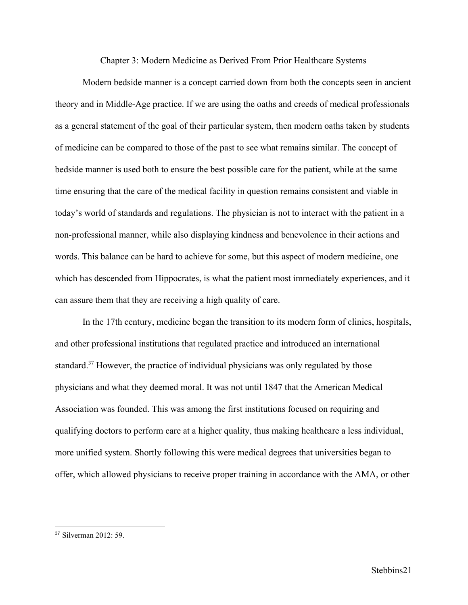Chapter 3: Modern Medicine as Derived From Prior Healthcare Systems

Modern bedside manner is a concept carried down from both the concepts seen in ancient theory and in Middle-Age practice. If we are using the oaths and creeds of medical professionals as a general statement of the goal of their particular system, then modern oaths taken by students of medicine can be compared to those of the past to see what remains similar. The concept of bedside manner is used both to ensure the best possible care for the patient, while at the same time ensuring that the care of the medical facility in question remains consistent and viable in today's world of standards and regulations. The physician is not to interact with the patient in a non-professional manner, while also displaying kindness and benevolence in their actions and words. This balance can be hard to achieve for some, but this aspect of modern medicine, one which has descended from Hippocrates, is what the patient most immediately experiences, and it can assure them that they are receiving a high quality of care.

In the 17th century, medicine began the transition to its modern form of clinics, hospitals, and other professional institutions that regulated practice and introduced an international standard.<sup> $37$ </sup> However, the practice of individual physicians was only regulated by those physicians and what they deemed moral. It was not until 1847 that the American Medical Association was founded. This was among the first institutions focused on requiring and qualifying doctors to perform care at a higher quality, thus making healthcare a less individual, more unified system. Shortly following this were medical degrees that universities began to offer, which allowed physicians to receive proper training in accordance with the AMA, or other

 $37$  Silverman  $2012 \cdot 59$ .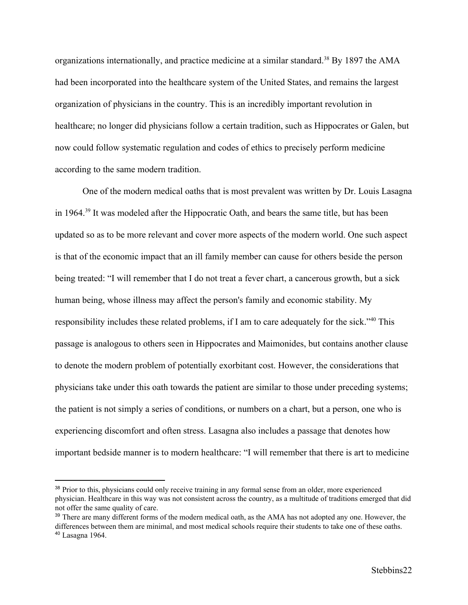organizations internationally, and practice medicine at a similar standard.<sup>38</sup> By 1897 the AMA had been incorporated into the healthcare system of the United States, and remains the largest organization of physicians in the country. This is an incredibly important revolution in healthcare; no longer did physicians follow a certain tradition, such as Hippocrates or Galen, but now could follow systematic regulation and codes of ethics to precisely perform medicine according to the same modern tradition.

One of the modern medical oaths that is most prevalent was written by Dr. Louis Lasagna in 1964.<sup> $39$ </sup> It was modeled after the Hippocratic Oath, and bears the same title, but has been updated so as to be more relevant and cover more aspects of the modern world. One such aspect is that of the economic impact that an ill family member can cause for others beside the person being treated: "I will remember that I do not treat a fever chart, a cancerous growth, but a sick human being, whose illness may affect the person's family and economic stability. My responsibility includes these related problems, if I am to care adequately for the sick."<sup>40</sup> This passage is analogous to others seen in Hippocrates and Maimonides, but contains another clause to denote the modern problem of potentially exorbitant cost. However, the considerations that physicians take under this oath towards the patient are similar to those under preceding systems; the patient is not simply a series of conditions, or numbers on a chart, but a person, one who is experiencing discomfort and often stress. Lasagna also includes a passage that denotes how important bedside manner is to modern healthcare: "I will remember that there is art to medicine

<sup>&</sup>lt;sup>38</sup> Prior to this, physicians could only receive training in any formal sense from an older, more experienced physician. Healthcare in this way was not consistent across the country, as a multitude of traditions emerged that did not offer the same quality of care.

<sup>&</sup>lt;sup>39</sup> There are many different forms of the modern medical oath, as the AMA has not adopted any one. However, the differences between them are minimal, and most medical schools require their students to take one of these oaths. <sup>40</sup> Lasagna 1964.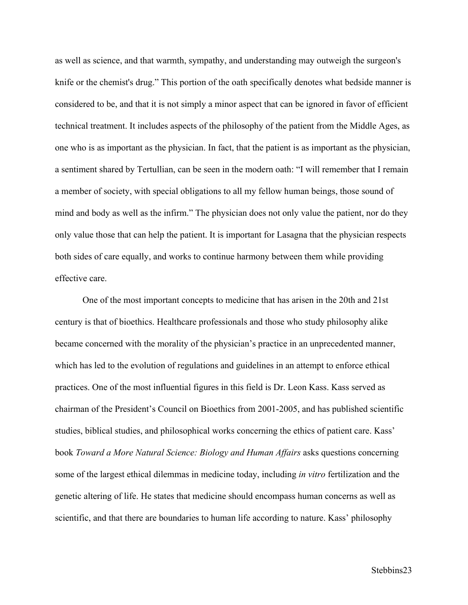as well as science, and that warmth, sympathy, and understanding may outweigh the surgeon's knife or the chemist's drug." This portion of the oath specifically denotes what bedside manner is considered to be, and that it is not simply a minor aspect that can be ignored in favor of efficient technical treatment. It includes aspects of the philosophy of the patient from the Middle Ages, as one who is as important as the physician. In fact, that the patient is as important as the physician, a sentiment shared by Tertullian, can be seen in the modern oath: "I will remember that I remain a member of society, with special obligations to all my fellow human beings, those sound of mind and body as well as the infirm." The physician does not only value the patient, nor do they only value those that can help the patient. It is important for Lasagna that the physician respects both sides of care equally, and works to continue harmony between them while providing effective care.

One of the most important concepts to medicine that has arisen in the 20th and 21st century is that of bioethics. Healthcare professionals and those who study philosophy alike became concerned with the morality of the physician's practice in an unprecedented manner, which has led to the evolution of regulations and guidelines in an attempt to enforce ethical practices. One of the most influential figures in this field is Dr. Leon Kass. Kass served as chairman of the President's Council on Bioethics from 2001-2005, and has published scientific studies, biblical studies, and philosophical works concerning the ethics of patient care. Kass' book *Toward a More Natural Science: Biology and Human Affairs* asks questions concerning some of the largest ethical dilemmas in medicine today, including *in vitro* fertilization and the genetic altering of life. He states that medicine should encompass human concerns as well as scientific, and that there are boundaries to human life according to nature. Kass' philosophy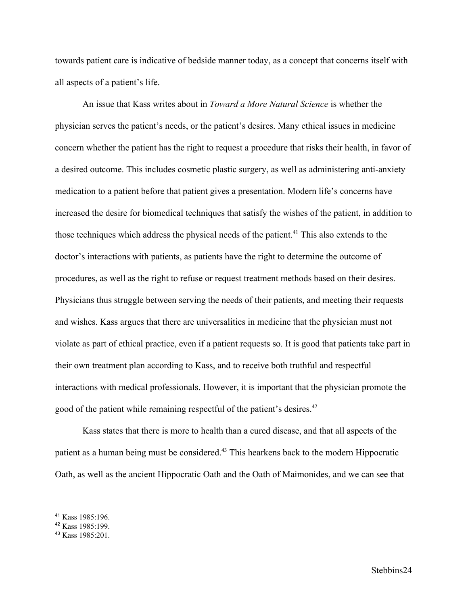towards patient care is indicative of bedside manner today, as a concept that concerns itself with all aspects of a patient's life.

An issue that Kass writes about in *Toward a More Natural Science* is whether the physician serves the patient's needs, or the patient's desires. Many ethical issues in medicine concern whether the patient has the right to request a procedure that risks their health, in favor of a desired outcome. This includes cosmetic plastic surgery, as well as administering anti-anxiety medication to a patient before that patient gives a presentation. Modern life's concerns have increased the desire for biomedical techniques that satisfy the wishes of the patient, in addition to those techniques which address the physical needs of the patient.<sup>41</sup> This also extends to the doctor's interactions with patients, as patients have the right to determine the outcome of procedures, as well as the right to refuse or request treatment methods based on their desires. Physicians thus struggle between serving the needs of their patients, and meeting their requests and wishes. Kass argues that there are universalities in medicine that the physician must not violate as part of ethical practice, even if a patient requests so. It is good that patients take part in their own treatment plan according to Kass, and to receive both truthful and respectful interactions with medical professionals. However, it is important that the physician promote the good of the patient while remaining respectful of the patient's desires.<sup>42</sup>

Kass states that there is more to health than a cured disease, and that all aspects of the patient as a human being must be considered.<sup>43</sup> This hearkens back to the modern Hippocratic Oath, as well as the ancient Hippocratic Oath and the Oath of Maimonides, and we can see that

<sup>41</sup> Kass 1985:196.

<sup>42</sup> Kass 1985:199.

<sup>43</sup> Kass 1985:201.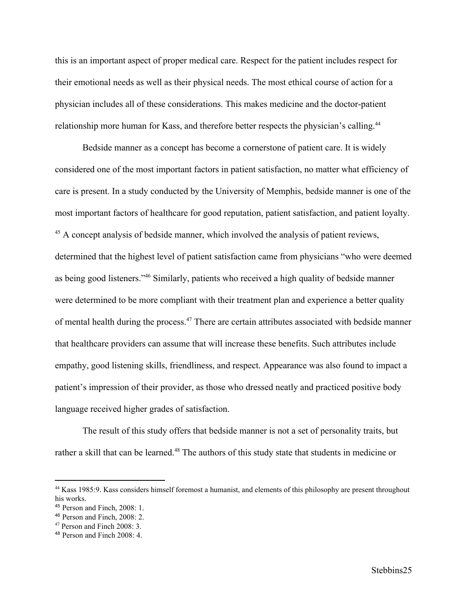this is an important aspect of proper medical care. Respect for the patient includes respect for their emotional needs as well as their physical needs. The most ethical course of action for a physician includes all of these considerations. This makes medicine and the doctor-patient relationship more human for Kass, and therefore better respects the physician's calling.<sup>44</sup>

Bedside manner as a concept has become a cornerstone of patient care. It is widely considered one of the most important factors in patient satisfaction, no matter what efficiency of care is present. In a study conducted by the University of Memphis, bedside manner is one of the most important factors of healthcare for good reputation, patient satisfaction, and patient loyalty. <sup>45</sup> A concept analysis of bedside manner, which involved the analysis of patient reviews, determined that the highest level of patient satisfaction came from physicians "who were deemed as being good listeners."<sup>46</sup> Similarly, patients who received a high quality of bedside manner were determined to be more compliant with their treatment plan and experience a better quality of mental health during the process.<sup>47</sup> There are certain attributes associated with bedside manner that healthcare providers can assume that will increase these benefits. Such attributes include empathy, good listening skills, friendliness, and respect. Appearance was also found to impact a patient's impression of their provider, as those who dressed neatly and practiced positive body language received higher grades of satisfaction.

The result of this study offers that bedside manner is not a set of personality traits, but rather a skill that can be learned.<sup>48</sup> The authors of this study state that students in medicine or

<sup>44</sup> Kass 1985:9. Kass considers himself foremost a humanist, and elements of this philosophy are present throughout his works.

<sup>45</sup> Person and Finch, 2008: 1.

<sup>46</sup> Person and Finch, 2008: 2.

<sup>47</sup> Person and Finch 2008: 3.

 $48$  Person and Finch 2008: 4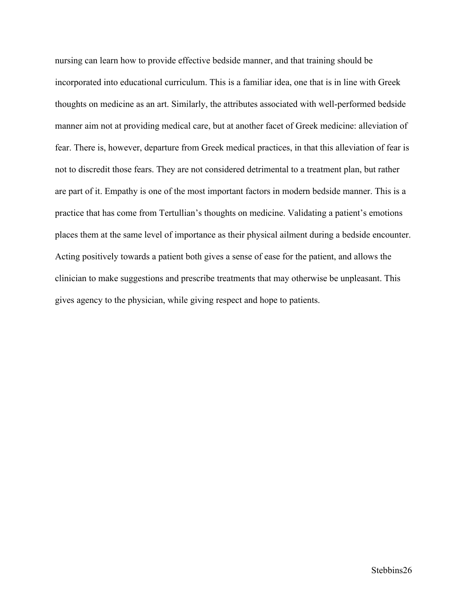nursing can learn how to provide effective bedside manner, and that training should be incorporated into educational curriculum. This is a familiar idea, one that is in line with Greek thoughts on medicine as an art. Similarly, the attributes associated with well-performed bedside manner aim not at providing medical care, but at another facet of Greek medicine: alleviation of fear. There is, however, departure from Greek medical practices, in that this alleviation of fear is not to discredit those fears. They are not considered detrimental to a treatment plan, but rather are part of it. Empathy is one of the most important factors in modern bedside manner. This is a practice that has come from Tertullian's thoughts on medicine. Validating a patient's emotions places them at the same level of importance as their physical ailment during a bedside encounter. Acting positively towards a patient both gives a sense of ease for the patient, and allows the clinician to make suggestions and prescribe treatments that may otherwise be unpleasant. This gives agency to the physician, while giving respect and hope to patients.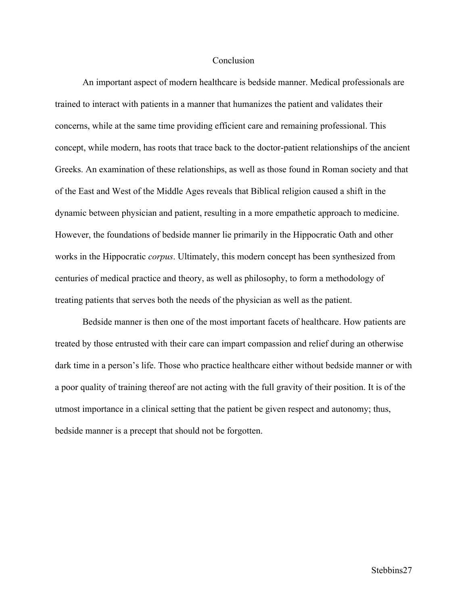#### **Conclusion**

An important aspect of modern healthcare is bedside manner. Medical professionals are trained to interact with patients in a manner that humanizes the patient and validates their concerns, while at the same time providing efficient care and remaining professional. This concept, while modern, has roots that trace back to the doctor-patient relationships of the ancient Greeks. An examination of these relationships, as well as those found in Roman society and that of the East and West of the Middle Ages reveals that Biblical religion caused a shift in the dynamic between physician and patient, resulting in a more empathetic approach to medicine. However, the foundations of bedside manner lie primarily in the Hippocratic Oath and other works in the Hippocratic *corpus*. Ultimately, this modern concept has been synthesized from centuries of medical practice and theory, as well as philosophy, to form a methodology of treating patients that serves both the needs of the physician as well as the patient.

Bedside manner is then one of the most important facets of healthcare. How patients are treated by those entrusted with their care can impart compassion and relief during an otherwise dark time in a person's life. Those who practice healthcare either without bedside manner or with a poor quality of training thereof are not acting with the full gravity of their position. It is of the utmost importance in a clinical setting that the patient be given respect and autonomy; thus, bedside manner is a precept that should not be forgotten.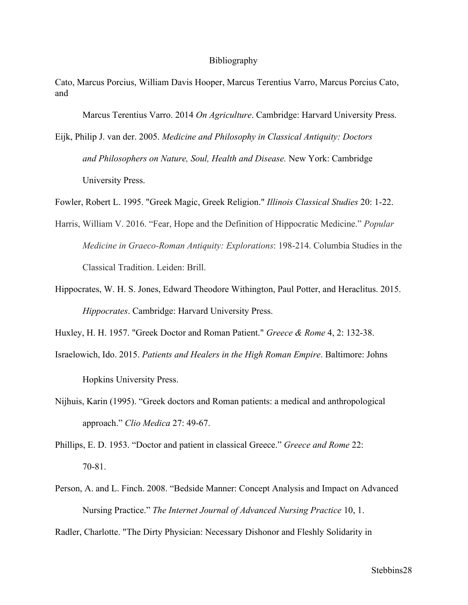#### Bibliography

Cato, Marcus Porcius, William Davis Hooper, Marcus Terentius Varro, Marcus Porcius Cato, and

Marcus Terentius Varro. 2014 *On Agriculture*. Cambridge: Harvard University Press.

Eijk, Philip J. van der. 2005. *Medicine and Philosophy in Classical Antiquity: Doctors and Philosophers on Nature, Soul, Health and Disease.* New York: Cambridge University Press.

Fowler, Robert L. 1995. "Greek Magic, Greek Religion." *Illinois Classical Studies* 20: 1-22.

- Harris, William V. 2016. "Fear, Hope and the Definition of Hippocratic Medicine." *Popular Medicine in Graeco-Roman Antiquity: Explorations*: 198-214. Columbia Studies in the Classical Tradition. Leiden: Brill.
- Hippocrates, W. H. S. Jones, Edward Theodore Withington, Paul Potter, and Heraclitus. 2015. *Hippocrates*. Cambridge: Harvard University Press.

Huxley, H. H. 1957. "Greek Doctor and Roman Patient." *Greece & Rome* 4, 2: 132-38.

Israelowich, Ido. 2015. *Patients and Healers in the High Roman Empire*. Baltimore: Johns

Hopkins University Press.

Nijhuis, Karin (1995). "Greek doctors and Roman patients: a medical and anthropological approach." *Clio Medica* 27: 49-67.

Phillips, E. D. 1953. "Doctor and patient in classical Greece." *Greece and Rome* 22: 70-81.

- Person, A. and L. Finch. 2008. "Bedside Manner: Concept Analysis and Impact on Advanced Nursing Practice." *The Internet Journal of Advanced Nursing Practice* 10, 1.
- Radler, Charlotte. "The Dirty Physician: Necessary Dishonor and Fleshly Solidarity in